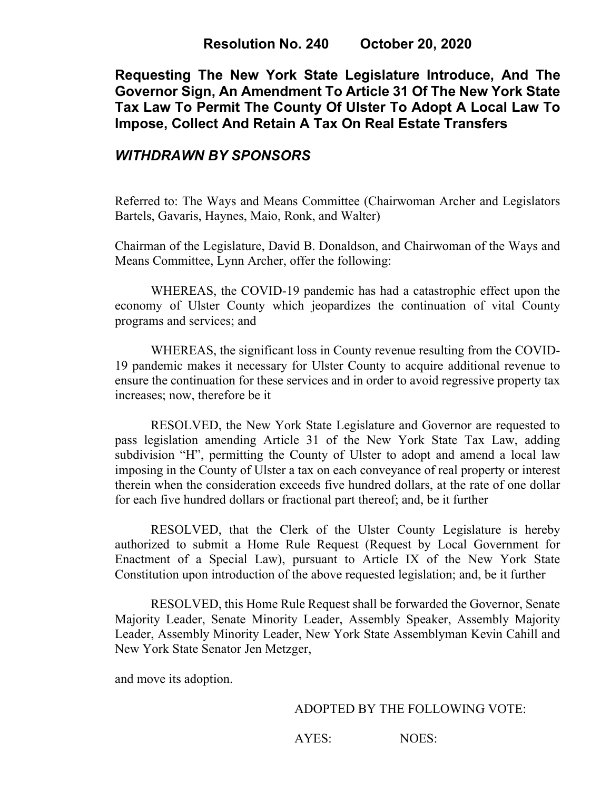#### **Resolution No. 240 October 20, 2020**

**Requesting The New York State Legislature Introduce, And The Governor Sign, An Amendment To Article 31 Of The New York State Tax Law To Permit The County Of Ulster To Adopt A Local Law To Impose, Collect And Retain A Tax On Real Estate Transfers**

### *WITHDRAWN BY SPONSORS*

Referred to: The Ways and Means Committee (Chairwoman Archer and Legislators Bartels, Gavaris, Haynes, Maio, Ronk, and Walter)

Chairman of the Legislature, David B. Donaldson, and Chairwoman of the Ways and Means Committee, Lynn Archer, offer the following:

WHEREAS, the COVID-19 pandemic has had a catastrophic effect upon the economy of Ulster County which jeopardizes the continuation of vital County programs and services; and

WHEREAS, the significant loss in County revenue resulting from the COVID-19 pandemic makes it necessary for Ulster County to acquire additional revenue to ensure the continuation for these services and in order to avoid regressive property tax increases; now, therefore be it

RESOLVED, the New York State Legislature and Governor are requested to pass legislation amending Article 31 of the New York State Tax Law, adding subdivision "H", permitting the County of Ulster to adopt and amend a local law imposing in the County of Ulster a tax on each conveyance of real property or interest therein when the consideration exceeds five hundred dollars, at the rate of one dollar for each five hundred dollars or fractional part thereof; and, be it further

RESOLVED, that the Clerk of the Ulster County Legislature is hereby authorized to submit a Home Rule Request (Request by Local Government for Enactment of a Special Law), pursuant to Article IX of the New York State Constitution upon introduction of the above requested legislation; and, be it further

RESOLVED, this Home Rule Request shall be forwarded the Governor, Senate Majority Leader, Senate Minority Leader, Assembly Speaker, Assembly Majority Leader, Assembly Minority Leader, New York State Assemblyman Kevin Cahill and New York State Senator Jen Metzger,

and move its adoption.

#### ADOPTED BY THE FOLLOWING VOTE:

AYES: NOES: